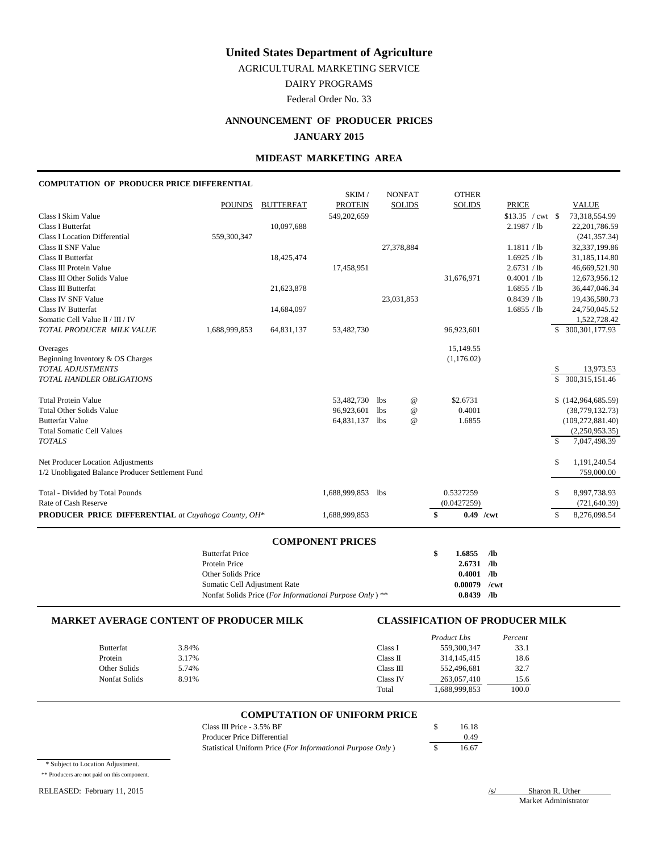AGRICULTURAL MARKETING SERVICE

DAIRY PROGRAMS

Federal Order No. 33

# **ANNOUNCEMENT OF PRODUCER PRICES JANUARY 2015**

# **MIDEAST MARKETING AREA**

#### **COMPUTATION OF PRODUCER PRICE DIFFERENTIAL**

|                                                            |               |                  | SKIM/          |            | <b>NONFAT</b>   | <b>OTHER</b>      |                   |               |                      |
|------------------------------------------------------------|---------------|------------------|----------------|------------|-----------------|-------------------|-------------------|---------------|----------------------|
|                                                            | <b>POUNDS</b> | <b>BUTTERFAT</b> | <b>PROTEIN</b> |            | <b>SOLIDS</b>   | <b>SOLIDS</b>     | <b>PRICE</b>      |               | <b>VALUE</b>         |
| Class I Skim Value                                         |               |                  | 549,202,659    |            |                 |                   | $$13.35 / cwt$ \$ |               | 73,318,554.99        |
| <b>Class I Butterfat</b>                                   |               | 10,097,688       |                |            |                 |                   | 2.1987 / lb       |               | 22,201,786.59        |
| <b>Class I Location Differential</b>                       | 559,300,347   |                  |                |            |                 |                   |                   |               | (241, 357.34)        |
| Class II SNF Value                                         |               |                  |                |            | 27,378,884      |                   | 1.1811 / lb       |               | 32,337,199.86        |
| Class II Butterfat                                         |               | 18,425,474       |                |            |                 |                   | 1.6925 / lb       |               | 31,185,114.80        |
| Class III Protein Value                                    |               |                  | 17,458,951     |            |                 |                   | 2.6731 / lb       |               | 46,669,521.90        |
| Class III Other Solids Value                               |               |                  |                |            |                 | 31,676,971        | 0.4001 / lb       |               | 12,673,956.12        |
| Class III Butterfat                                        |               | 21,623,878       |                |            |                 |                   | 1.6855 / lb       |               | 36,447,046.34        |
| Class IV SNF Value                                         |               |                  |                |            | 23,031,853      |                   | 0.8439 / lb       |               | 19,436,580.73        |
| Class IV Butterfat                                         |               | 14,684,097       |                |            |                 |                   | 1.6855 / lb       |               | 24,750,045.52        |
| Somatic Cell Value II / III / IV                           |               |                  |                |            |                 |                   |                   |               | 1,522,728.42         |
| TOTAL PRODUCER MILK VALUE                                  | 1,688,999,853 | 64,831,137       | 53,482,730     |            |                 | 96,923,601        |                   |               | \$ 300,301,177.93    |
| Overages                                                   |               |                  |                |            |                 | 15,149.55         |                   |               |                      |
| Beginning Inventory & OS Charges                           |               |                  |                |            |                 | (1,176.02)        |                   |               |                      |
| <b>TOTAL ADJUSTMENTS</b>                                   |               |                  |                |            |                 |                   |                   | \$            | 13,973.53            |
| TOTAL HANDLER OBLIGATIONS                                  |               |                  |                |            |                 |                   |                   |               | \$ 300,315,151.46    |
|                                                            |               |                  |                |            |                 |                   |                   |               |                      |
| <b>Total Protein Value</b>                                 |               |                  | 53,482,730     | lbs        | $^{\copyright}$ | \$2.6731          |                   |               | \$(142, 964, 685.59) |
| <b>Total Other Solids Value</b>                            |               |                  | 96,923,601     | <b>lbs</b> | $^{\copyright}$ | 0.4001            |                   |               | (38, 779, 132.73)    |
| <b>Butterfat Value</b>                                     |               |                  | 64,831,137     | <b>lbs</b> | $^{\copyright}$ | 1.6855            |                   |               | (109, 272, 881.40)   |
| <b>Total Somatic Cell Values</b>                           |               |                  |                |            |                 |                   |                   |               | (2,250,953.35)       |
| <b>TOTALS</b>                                              |               |                  |                |            |                 |                   |                   | <sup>\$</sup> | 7,047,498.39         |
| Net Producer Location Adjustments                          |               |                  |                |            |                 |                   |                   | \$            | 1,191,240.54         |
| 1/2 Unobligated Balance Producer Settlement Fund           |               |                  |                |            |                 |                   |                   |               | 759,000.00           |
|                                                            |               |                  |                |            |                 |                   |                   |               |                      |
| Total - Divided by Total Pounds                            |               |                  | 1,688,999,853  | <b>lbs</b> |                 | 0.5327259         |                   | \$            | 8,997,738.93         |
| Rate of Cash Reserve                                       |               |                  |                |            |                 | (0.0427259)       |                   |               | (721, 640.39)        |
| <b>PRODUCER PRICE DIFFERENTIAL</b> at Cuyahoga County, OH* |               |                  | 1,688,999,853  |            |                 | \$<br>$0.49$ /cwt |                   | $\mathbb{S}$  | 8,276,098.54         |
|                                                            |               |                  |                |            |                 |                   |                   |               |                      |

#### **COMPONENT PRICES**

| <b>Butterfat Price</b>                                  | \$<br>$1.6855$ /lb |     |
|---------------------------------------------------------|--------------------|-----|
| Protein Price                                           | $2.6731$ /lb       |     |
| Other Solids Price                                      | $0.4001$ /lb       |     |
| Somatic Cell Adjustment Rate                            | $0.00079$ /cwt     |     |
| Nonfat Solids Price (For Informational Purpose Only) ** | 0.8439             | /lb |

#### **MARKET AVERAGE CONTENT OF PRODUCER MILK CLASSIFICATION OF PRODUCER MILK**

|               |       |           | <b>Product Lbs</b> | Percent |
|---------------|-------|-----------|--------------------|---------|
| Butterfat     | 3.84% | Class I   | 559,300,347        | 33.1    |
| Protein       | 3.17% | Class II  | 314, 145, 415      | 18.6    |
| Other Solids  | 5.74% | Class III | 552,496,681        | 32.7    |
| Nonfat Solids | 8.91% | Class IV  | 263,057,410        | 15.6    |
|               |       | Total     | 1,688,999,853      | 100.0   |

## **COMPUTATION OF UNIFORM PRICE**

| Class III Price $-3.5\%$ BF                                | 16.18 |
|------------------------------------------------------------|-------|
| Producer Price Differential                                | 0.49  |
| Statistical Uniform Price (For Informational Purpose Only) | 16.67 |

\* Subject to Location Adjustment.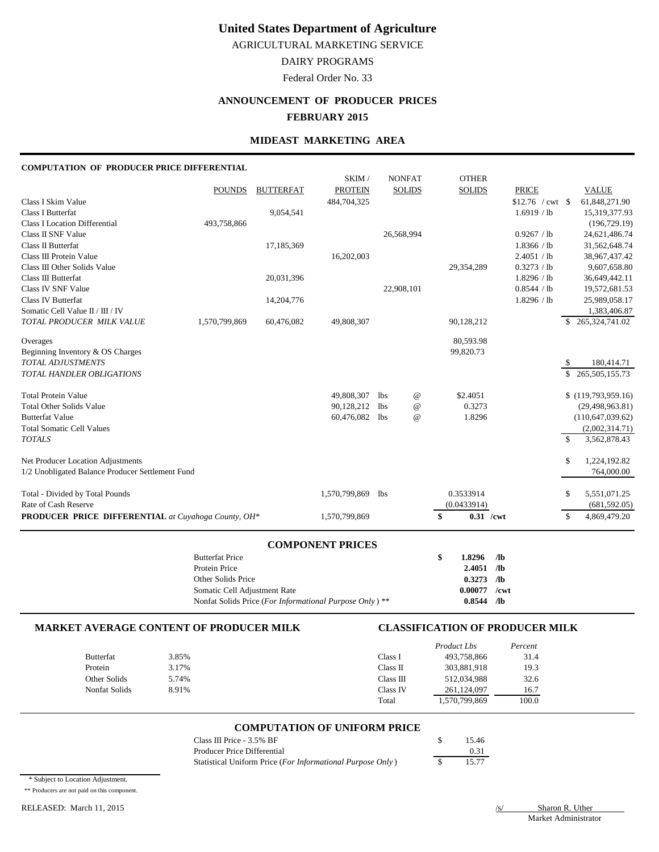AGRICULTURAL MARKETING SERVICE

# DAIRY PROGRAMS

Federal Order No. 33

# **ANNOUNCEMENT OF PRODUCER PRICES FEBRUARY 2015**

#### **MIDEAST MARKETING AREA**

#### **COMPUTATION OF PRODUCER PRICE DIFFERENTIAL**

|                                                            |               |                  | SKIM/          |            | <b>NONFAT</b>   | <b>OTHER</b>      |                     |             |                    |
|------------------------------------------------------------|---------------|------------------|----------------|------------|-----------------|-------------------|---------------------|-------------|--------------------|
|                                                            | <b>POUNDS</b> | <b>BUTTERFAT</b> | <b>PROTEIN</b> |            | <b>SOLIDS</b>   | <b>SOLIDS</b>     | <b>PRICE</b>        |             | <b>VALUE</b>       |
| Class I Skim Value                                         |               |                  | 484,704,325    |            |                 |                   | $$12.76$ / cwt \ \$ |             | 61,848,271.90      |
| <b>Class I Butterfat</b>                                   |               | 9,054,541        |                |            |                 |                   | 1.6919 / lb         |             | 15,319,377.93      |
| <b>Class I Location Differential</b>                       | 493,758,866   |                  |                |            |                 |                   |                     |             | (196, 729.19)      |
| Class II SNF Value                                         |               |                  |                |            | 26,568,994      |                   | 0.9267 / lb         |             | 24,621,486.74      |
| Class II Butterfat                                         |               | 17,185,369       |                |            |                 |                   | 1.8366 / lb         |             | 31,562,648.74      |
| Class III Protein Value                                    |               |                  | 16,202,003     |            |                 |                   | 2.4051 / lb         |             | 38,967,437.42      |
| Class III Other Solids Value                               |               |                  |                |            |                 | 29,354,289        | 0.3273 / lb         |             | 9,607,658.80       |
| Class III Butterfat                                        |               | 20,031,396       |                |            |                 |                   | 1.8296 / lb         |             | 36,649,442.11      |
| Class IV SNF Value                                         |               |                  |                |            | 22,908,101      |                   | 0.8544 / lb         |             | 19,572,681.53      |
| <b>Class IV Butterfat</b>                                  |               | 14,204,776       |                |            |                 |                   | 1.8296 / lb         |             | 25,989,058.17      |
| Somatic Cell Value II / III / IV                           |               |                  |                |            |                 |                   |                     |             | 1,383,406.87       |
| TOTAL PRODUCER MILK VALUE                                  | 1,570,799,869 | 60,476,082       | 49,808,307     |            |                 | 90,128,212        |                     |             | \$265,324,741.02   |
| Overages                                                   |               |                  |                |            |                 | 80,593.98         |                     |             |                    |
| Beginning Inventory & OS Charges                           |               |                  |                |            |                 | 99,820.73         |                     |             |                    |
| <b>TOTAL ADJUSTMENTS</b>                                   |               |                  |                |            |                 |                   |                     | \$          | 180,414.71         |
| <b>TOTAL HANDLER OBLIGATIONS</b>                           |               |                  |                |            |                 |                   |                     |             | \$265,505,155.73   |
| <b>Total Protein Value</b>                                 |               |                  | 49,808,307     | <b>lbs</b> | $^{\copyright}$ | \$2.4051          |                     |             | \$(119,793,959.16) |
| <b>Total Other Solids Value</b>                            |               |                  | 90,128,212     | <b>lbs</b> | $^{\copyright}$ | 0.3273            |                     |             | (29, 498, 963.81)  |
| <b>Butterfat Value</b>                                     |               |                  | 60,476,082     | <b>lbs</b> | $^{\copyright}$ | 1.8296            |                     |             | (110, 647, 039.62) |
| <b>Total Somatic Cell Values</b>                           |               |                  |                |            |                 |                   |                     |             | (2,002,314.71)     |
| <b>TOTALS</b>                                              |               |                  |                |            |                 |                   |                     | $\mathbf S$ | 3,562,878.43       |
| Net Producer Location Adjustments                          |               |                  |                |            |                 |                   |                     | S           | 1,224,192.82       |
| 1/2 Unobligated Balance Producer Settlement Fund           |               |                  |                |            |                 |                   |                     |             | 764,000.00         |
| Total - Divided by Total Pounds                            |               |                  | 1,570,799,869  | lbs        |                 | 0.3533914         |                     | S           | 5,551,071.25       |
| Rate of Cash Reserve                                       |               |                  |                |            |                 | (0.0433914)       |                     |             | (681, 592.05)      |
| <b>PRODUCER PRICE DIFFERENTIAL</b> at Cuyahoga County, OH* |               |                  | 1,570,799,869  |            |                 | $0.31$ /cwt<br>\$ |                     | \$          | 4,869,479.20       |

## **COMPONENT PRICES**

| <b>Butterfat Price</b>                                  | 1.8296         | /lb |
|---------------------------------------------------------|----------------|-----|
| Protein Price                                           | $2.4051$ /lb   |     |
| Other Solids Price                                      | $0.3273$ /lb   |     |
| Somatic Cell Adjustment Rate                            | $0.00077$ /cwt |     |
| Nonfat Solids Price (For Informational Purpose Only) ** | 0.8544         | /lb |

### **MARKET AVERAGE CONTENT OF PRODUCER MILK CLASSIFICATION OF PRODUCER MILK**

|                  |       |           | Product Lbs   | Percent |
|------------------|-------|-----------|---------------|---------|
| <b>Butterfat</b> | 3.85% | Class I   | 493,758,866   | 31.4    |
| Protein          | 3.17% | Class II  | 303,881,918   | 19.3    |
| Other Solids     | 5.74% | Class III | 512,034,988   | 32.6    |
| Nonfat Solids    | 8.91% | Class IV  | 261.124.097   | 16.7    |
|                  |       | Total     | 1,570,799,869 | 100.0   |

## **COMPUTATION OF UNIFORM PRICE**

| Class III Price - 3.5% BF                                  | 15.46 |
|------------------------------------------------------------|-------|
| Producer Price Differential                                | 0.31  |
| Statistical Uniform Price (For Informational Purpose Only) | 15.77 |

\* Subject to Location Adjustment.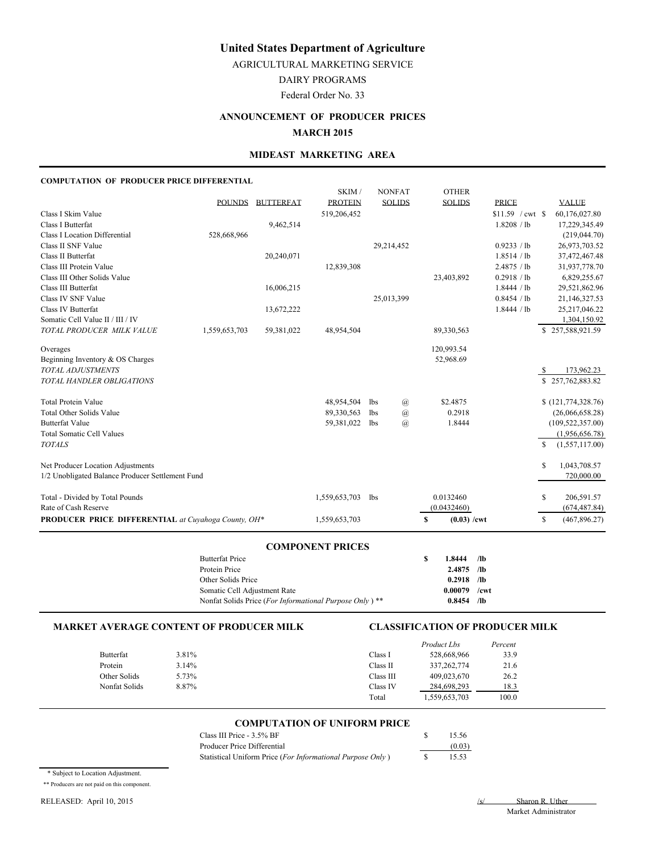AGRICULTURAL MARKETING SERVICE

DAIRY PROGRAMS

Federal Order No. 33

# **ANNOUNCEMENT OF PRODUCER PRICES MARCH 2015**

## **MIDEAST MARKETING AREA**

## **COMPUTATION OF PRODUCER PRICE DIFFERENTIAL**

|                                                     |               |                  | SKIM/          | <b>NONFAT</b>                    | <b>OTHER</b>       |                    |                    |
|-----------------------------------------------------|---------------|------------------|----------------|----------------------------------|--------------------|--------------------|--------------------|
|                                                     |               | POUNDS BUTTERFAT | <b>PROTEIN</b> | <b>SOLIDS</b>                    | <b>SOLIDS</b>      | <b>PRICE</b>       | <b>VALUE</b>       |
| Class I Skim Value                                  |               |                  | 519,206,452    |                                  |                    | $$11.59$ / cwt \\$ | 60,176,027.80      |
| Class I Butterfat                                   |               | 9,462,514        |                |                                  |                    | 1.8208 / lb        | 17,229,345.49      |
| Class I Location Differential                       | 528,668,966   |                  |                |                                  |                    |                    | (219, 044.70)      |
| Class II SNF Value                                  |               |                  |                | 29,214,452                       |                    | 0.9233 / lb        | 26,973,703.52      |
| Class II Butterfat                                  |               | 20,240,071       |                |                                  |                    | 1.8514 / lb        | 37,472,467.48      |
| Class III Protein Value                             |               |                  | 12,839,308     |                                  |                    | 2.4875 / lb        | 31,937,778.70      |
| Class III Other Solids Value                        |               |                  |                |                                  | 23,403,892         | 0.2918 / lb        | 6,829,255.67       |
| Class III Butterfat                                 |               | 16,006,215       |                |                                  |                    | 1.8444 / lb        | 29,521,862.96      |
| Class IV SNF Value                                  |               |                  |                | 25,013,399                       |                    | 0.8454 / lb        | 21,146,327.53      |
| Class IV Butterfat                                  |               | 13,672,222       |                |                                  |                    | 1.8444 / lb        | 25,217,046.22      |
| Somatic Cell Value II / III / IV                    |               |                  |                |                                  |                    |                    | 1,304,150.92       |
| TOTAL PRODUCER MILK VALUE                           | 1,559,653,703 | 59,381,022       | 48,954,504     |                                  | 89,330,563         |                    | \$257,588,921.59   |
| Overages                                            |               |                  |                |                                  | 120,993.54         |                    |                    |
| Beginning Inventory & OS Charges                    |               |                  |                |                                  | 52,968.69          |                    |                    |
| TOTAL ADJUSTMENTS                                   |               |                  |                |                                  |                    |                    | 173,962.23         |
| TOTAL HANDLER OBLIGATIONS                           |               |                  |                |                                  |                    |                    | \$257,762,883.82   |
|                                                     |               |                  |                |                                  |                    |                    |                    |
| <b>Total Protein Value</b>                          |               |                  | 48,954,504     | $\mathcal{a}$<br>lbs             | \$2.4875           |                    | (121, 774, 328.76) |
| <b>Total Other Solids Value</b>                     |               |                  | 89,330,563     | $\mathcal{a}$<br>1 <sub>bs</sub> | 0.2918             |                    | (26,066,658.28)    |
| <b>Butterfat Value</b>                              |               |                  | 59,381,022     | $\mathcal{a}$<br>lbs             | 1.8444             |                    | (109, 522, 357.00) |
| <b>Total Somatic Cell Values</b>                    |               |                  |                |                                  |                    |                    | (1,956,656.78)     |
| <b>TOTALS</b>                                       |               |                  |                |                                  |                    | S                  | (1,557,117.00)     |
| Net Producer Location Adjustments                   |               |                  |                |                                  |                    | S                  | 1,043,708.57       |
| 1/2 Unobligated Balance Producer Settlement Fund    |               |                  |                |                                  |                    |                    | 720,000.00         |
|                                                     |               |                  |                |                                  |                    |                    |                    |
| Total - Divided by Total Pounds                     |               |                  | 1,559,653,703  | lbs                              | 0.0132460          | \$                 | 206,591.57         |
| Rate of Cash Reserve                                |               |                  |                |                                  | (0.0432460)        |                    | (674, 487.84)      |
| PRODUCER PRICE DIFFERENTIAL at Cuvahoga County, OH* |               |                  | 1,559,653,703  |                                  | $(0.03)$ /cwt<br>S | \$                 | (467, 896.27)      |

#### **COMPONENT PRICES**

| <b>Butterfat Price</b>                                             | s | 1.8444       | /1 <sub>b</sub> |
|--------------------------------------------------------------------|---|--------------|-----------------|
| Protein Price                                                      |   | $2.4875$ /lb |                 |
| Other Solids Price                                                 |   | $0.2918$ /lb |                 |
| Somatic Cell Adjustment Rate                                       |   | 0.00079      | /cwt            |
| Nonfat Solids Price (For Informational Purpose Only) <sup>**</sup> |   | $0.8454$ /lb |                 |

#### **MARKET AVERAGE CONTENT OF PRODUCER MILK CLASSIFICATION OF PRODUCER MILK**

|               |       |           | Product Lbs   | Percent |
|---------------|-------|-----------|---------------|---------|
| Butterfat     | 3.81% | Class I   | 528,668,966   | 33.9    |
| Protein       | 3.14% | Class II  | 337, 262, 774 | 21.6    |
| Other Solids  | 5.73% | Class III | 409.023.670   | 26.2    |
| Nonfat Solids | 8.87% | Class IV  | 284,698,293   | 18.3    |
|               |       | Total     | 1,559,653,703 | 100.0   |

### **COMPUTATION OF UNIFORM PRICE**

| Class III Price - 3.5% BF                                  | 15.56  |
|------------------------------------------------------------|--------|
| Producer Price Differential                                | (0.03) |
| Statistical Uniform Price (For Informational Purpose Only) | 15.53  |

\* Subject to Location Adjustment.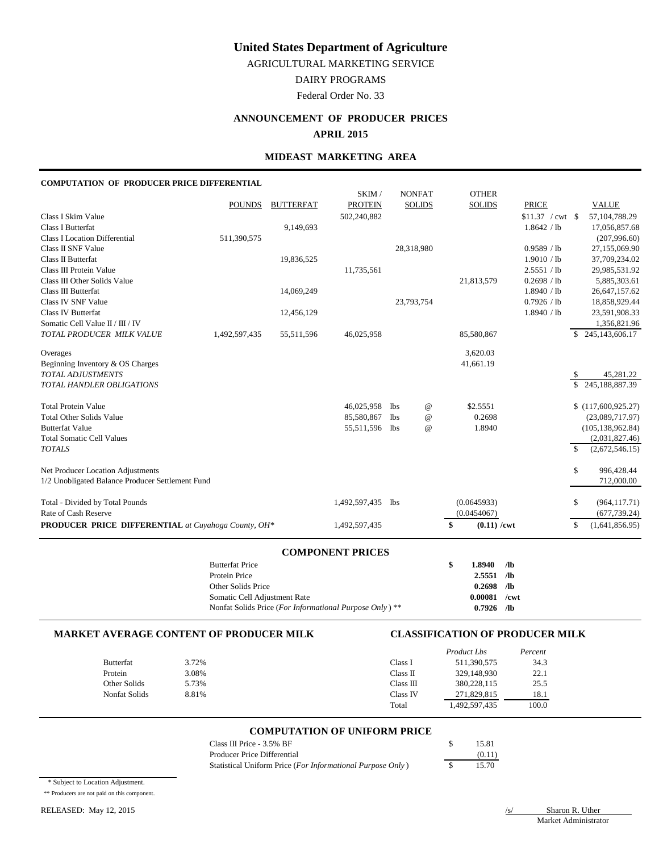AGRICULTURAL MARKETING SERVICE

DAIRY PROGRAMS

Federal Order No. 33

## **ANNOUNCEMENT OF PRODUCER PRICES**

#### **APRIL 2015**

#### **MIDEAST MARKETING AREA**

#### **COMPUTATION OF PRODUCER PRICE DIFFERENTIAL**

|                                                            |               |                  | SKIM/          |            | <b>NONFAT</b>   | <b>OTHER</b>        |                          |               |                    |
|------------------------------------------------------------|---------------|------------------|----------------|------------|-----------------|---------------------|--------------------------|---------------|--------------------|
|                                                            | <b>POUNDS</b> | <b>BUTTERFAT</b> | <b>PROTEIN</b> |            | <b>SOLIDS</b>   | <b>SOLIDS</b>       | <b>PRICE</b>             |               | <b>VALUE</b>       |
| Class I Skim Value                                         |               |                  | 502,240,882    |            |                 |                     | $$11.37 / \text{cwt } $$ |               | 57,104,788.29      |
| <b>Class I Butterfat</b>                                   |               | 9,149,693        |                |            |                 |                     | 1.8642 / lb              |               | 17,056,857.68      |
| <b>Class I Location Differential</b>                       | 511,390,575   |                  |                |            |                 |                     |                          |               | (207,996.60)       |
| Class II SNF Value                                         |               |                  |                |            | 28,318,980      |                     | 0.9589 / lb              |               | 27,155,069.90      |
| Class II Butterfat                                         |               | 19,836,525       |                |            |                 |                     | 1.9010 / lb              |               | 37,709,234.02      |
| Class III Protein Value                                    |               |                  | 11,735,561     |            |                 |                     | 2.5551 / lb              |               | 29,985,531.92      |
| Class III Other Solids Value                               |               |                  |                |            |                 | 21,813,579          | 0.2698 / lb              |               | 5,885,303.61       |
| Class III Butterfat                                        |               | 14,069,249       |                |            |                 |                     | 1.8940 / lb              |               | 26,647,157.62      |
| <b>Class IV SNF Value</b>                                  |               |                  |                |            | 23,793,754      |                     | 0.7926 / lb              |               | 18,858,929.44      |
| <b>Class IV Butterfat</b>                                  |               | 12,456,129       |                |            |                 |                     | 1.8940 / lb              |               | 23,591,908.33      |
| Somatic Cell Value II / III / IV                           |               |                  |                |            |                 |                     |                          |               | 1,356,821.96       |
| TOTAL PRODUCER MILK VALUE                                  | 1,492,597,435 | 55,511,596       | 46,025,958     |            |                 | 85,580,867          |                          |               | \$245,143,606.17   |
| Overages                                                   |               |                  |                |            |                 | 3,620.03            |                          |               |                    |
| Beginning Inventory & OS Charges                           |               |                  |                |            |                 | 41,661.19           |                          |               |                    |
| TOTAL ADJUSTMENTS                                          |               |                  |                |            |                 |                     |                          | \$            | 45,281.22          |
| <b>TOTAL HANDLER OBLIGATIONS</b>                           |               |                  |                |            |                 |                     |                          | \$            | 245,188,887.39     |
| <b>Total Protein Value</b>                                 |               |                  | 46,025,958     | <b>lbs</b> | $^{\copyright}$ | \$2.5551            |                          |               | \$(117,600,925.27) |
| <b>Total Other Solids Value</b>                            |               |                  | 85,580,867     | <b>lbs</b> | $^{\copyright}$ | 0.2698              |                          |               | (23,089,717.97)    |
| <b>Butterfat Value</b>                                     |               |                  | 55,511,596     | <b>lbs</b> | $^{\copyright}$ | 1.8940              |                          |               | (105, 138, 962.84) |
| <b>Total Somatic Cell Values</b>                           |               |                  |                |            |                 |                     |                          |               | (2,031,827.46)     |
| <b>TOTALS</b>                                              |               |                  |                |            |                 |                     |                          | $\mathcal{S}$ | (2,672,546.15)     |
| Net Producer Location Adjustments                          |               |                  |                |            |                 |                     |                          | \$            | 996,428.44         |
| 1/2 Unobligated Balance Producer Settlement Fund           |               |                  |                |            |                 |                     |                          |               | 712,000.00         |
| Total - Divided by Total Pounds                            |               |                  | 1,492,597,435  | lbs        |                 | (0.0645933)         |                          | S             | (964, 117.71)      |
| Rate of Cash Reserve                                       |               |                  |                |            |                 | (0.0454067)         |                          |               | (677, 739.24)      |
| <b>PRODUCER PRICE DIFFERENTIAL</b> at Cuyahoga County, OH* |               |                  | 1,492,597,435  |            |                 | \$<br>$(0.11)$ /cwt |                          | $\mathbb{S}$  | (1,641,856.95)     |
|                                                            |               |                  |                |            |                 |                     |                          |               |                    |

## **COMPONENT PRICES**

| <b>Butterfat Price</b>                                  | $1.8940$ /lb   |  |
|---------------------------------------------------------|----------------|--|
| Protein Price                                           | $2.5551$ /lb   |  |
| Other Solids Price                                      | $0.2698$ /lb   |  |
| Somatic Cell Adjustment Rate                            | $0.00081$ /cwt |  |
| Nonfat Solids Price (For Informational Purpose Only) ** | $0.7926$ /lb   |  |

## **MARKET AVERAGE CONTENT OF PRODUCER MILK CLASSIFICATION OF PRODUCER MILK**

|                  |       |           | Product Lbs | Percent |
|------------------|-------|-----------|-------------|---------|
| <b>Butterfat</b> | 3.72% | Class I   | 511,390,575 | 34.3    |
| Protein          | 3.08% | Class II  | 329,148,930 | 22.1    |
| Other Solids     | 5.73% | Class III | 380,228,115 | 25.5    |
| Nonfat Solids    | 8.81% | Class IV  | 271,829,815 | 18.1    |
|                  |       | Total     | 492,597,435 | 100.0   |

## **COMPUTATION OF UNIFORM PRICE**

| Class III Price - $3.5\%$ BF                               | 15.81  |
|------------------------------------------------------------|--------|
| Producer Price Differential                                | (0.11) |
| Statistical Uniform Price (For Informational Purpose Only) | 15.70  |

\* Subject to Location Adjustment.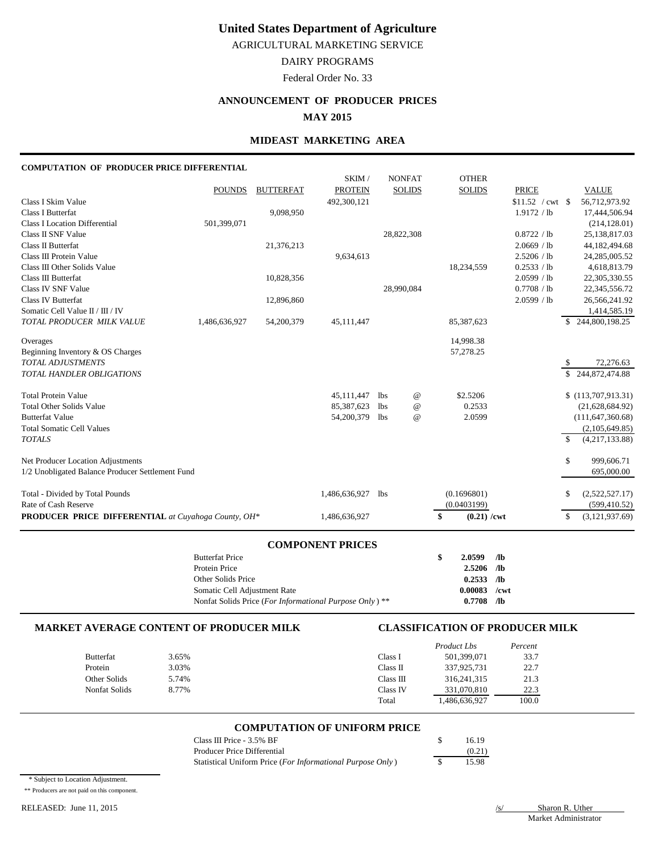AGRICULTURAL MARKETING SERVICE

# DAIRY PROGRAMS

Federal Order No. 33

# **ANNOUNCEMENT OF PRODUCER PRICES**

**MAY 2015**

## **MIDEAST MARKETING AREA**

#### **COMPUTATION OF PRODUCER PRICE DIFFERENTIAL**

|                                                            |               |                  | SKIM/          | <b>NONFAT</b> | <b>OTHER</b>              |                    |                                |
|------------------------------------------------------------|---------------|------------------|----------------|---------------|---------------------------|--------------------|--------------------------------|
|                                                            | <b>POUNDS</b> | <b>BUTTERFAT</b> | <b>PROTEIN</b> | <b>SOLIDS</b> | <b>SOLIDS</b>             | <b>PRICE</b>       | <b>VALUE</b>                   |
| Class I Skim Value                                         |               |                  | 492,300,121    |               |                           | $$11.52$ / cwt \\$ | 56,712,973.92                  |
| <b>Class I Butterfat</b>                                   |               | 9,098,950        |                |               |                           | 1.9172 / lb        | 17,444,506.94                  |
| Class I Location Differential                              | 501,399,071   |                  |                |               |                           |                    | (214, 128.01)                  |
| Class II SNF Value                                         |               |                  |                | 28,822,308    |                           | 0.8722 / lb        | 25,138,817.03                  |
| Class II Butterfat                                         |               | 21,376,213       |                |               |                           | 2.0669 / lb        | 44,182,494.68                  |
| Class III Protein Value                                    |               |                  | 9,634,613      |               |                           | 2.5206 / lb        | 24, 285, 005.52                |
| Class III Other Solids Value                               |               |                  |                |               | 18,234,559                | 0.2533 / lb        | 4,618,813.79                   |
| Class III Butterfat                                        |               | 10,828,356       |                |               |                           | 2.0599 / lb        | 22,305,330.55                  |
| Class IV SNF Value                                         |               |                  |                | 28,990,084    |                           | 0.7708 / lb        | 22,345,556.72                  |
| <b>Class IV Butterfat</b>                                  |               | 12,896,860       |                |               |                           | 2.0599 / lb        | 26,566,241.92                  |
| Somatic Cell Value II / III / IV                           |               |                  |                |               |                           |                    | 1,414,585.19                   |
| TOTAL PRODUCER MILK VALUE                                  | 1,486,636,927 | 54,200,379       | 45,111,447     |               | 85,387,623                |                    | \$244,800,198.25               |
| Overages                                                   |               |                  |                |               | 14,998.38                 |                    |                                |
| Beginning Inventory & OS Charges                           |               |                  |                |               | 57,278.25                 |                    |                                |
| <b>TOTAL ADJUSTMENTS</b>                                   |               |                  |                |               |                           |                    | 72,276.63                      |
| TOTAL HANDLER OBLIGATIONS                                  |               |                  |                |               |                           |                    | $\overline{\$}$ 244,872,474.88 |
| <b>Total Protein Value</b>                                 |               |                  | 45,111,447     | lbs           | \$2.5206<br>@             |                    | \$(113,707,913.31)             |
| <b>Total Other Solids Value</b>                            |               |                  | 85,387,623     | lbs           | 0.2533<br>$^{\copyright}$ |                    | (21,628,684.92)                |
| <b>Butterfat Value</b>                                     |               |                  | 54,200,379     | lbs           | $^{\copyright}$<br>2.0599 |                    | (111, 647, 360.68)             |
| <b>Total Somatic Cell Values</b>                           |               |                  |                |               |                           |                    | (2,105,649.85)                 |
| <b>TOTALS</b>                                              |               |                  |                |               |                           |                    | $\mathbf S$<br>(4,217,133.88)  |
| Net Producer Location Adjustments                          |               |                  |                |               |                           |                    | \$<br>999,606.71               |
| 1/2 Unobligated Balance Producer Settlement Fund           |               |                  |                |               |                           |                    | 695,000.00                     |
| Total - Divided by Total Pounds                            |               |                  | 1,486,636,927  | <b>lbs</b>    | (0.1696801)               |                    | \$<br>(2,522,527.17)           |
| Rate of Cash Reserve                                       |               |                  |                |               | (0.0403199)               |                    | (599, 410.52)                  |
| <b>PRODUCER PRICE DIFFERENTIAL</b> at Cuyahoga County, OH* |               |                  | 1,486,636,927  |               | \$<br>$(0.21)$ /cwt       |                    | (3,121,937.69)<br>\$           |
|                                                            |               |                  |                |               |                           |                    |                                |

## **COMPONENT PRICES**

| <b>Butterfat Price</b>                                  | 2.0599         | - /lb |
|---------------------------------------------------------|----------------|-------|
| Protein Price                                           | 2.5206         | /lb   |
| Other Solids Price                                      | 0.2533         | - /lb |
| Somatic Cell Adjustment Rate                            | $0.00083$ /cwt |       |
| Nonfat Solids Price (For Informational Purpose Only) ** | 0.7708         | /lb   |

## **MARKET AVERAGE CONTENT OF PRODUCER MILK CLASSIFICATION OF PRODUCER MILK**

|                  |       |           | Product Lbs   | Percent |
|------------------|-------|-----------|---------------|---------|
| <b>Butterfat</b> | 3.65% | Class I   | 501,399,071   | 33.7    |
| Protein          | 3.03% | Class II  | 337,925,731   | 22.7    |
| Other Solids     | 5.74% | Class III | 316, 241, 315 | 21.3    |
| Nonfat Solids    | 8.77% | Class IV  | 331,070,810   | 22.3    |
|                  |       | Total     | 1,486,636,927 | 100.0   |

## **COMPUTATION OF UNIFORM PRICE**

| Class III Price - $3.5\%$ BF                               | 16.19  |
|------------------------------------------------------------|--------|
| Producer Price Differential                                | (0.21) |
| Statistical Uniform Price (For Informational Purpose Only) | 15.98  |

\* Subject to Location Adjustment.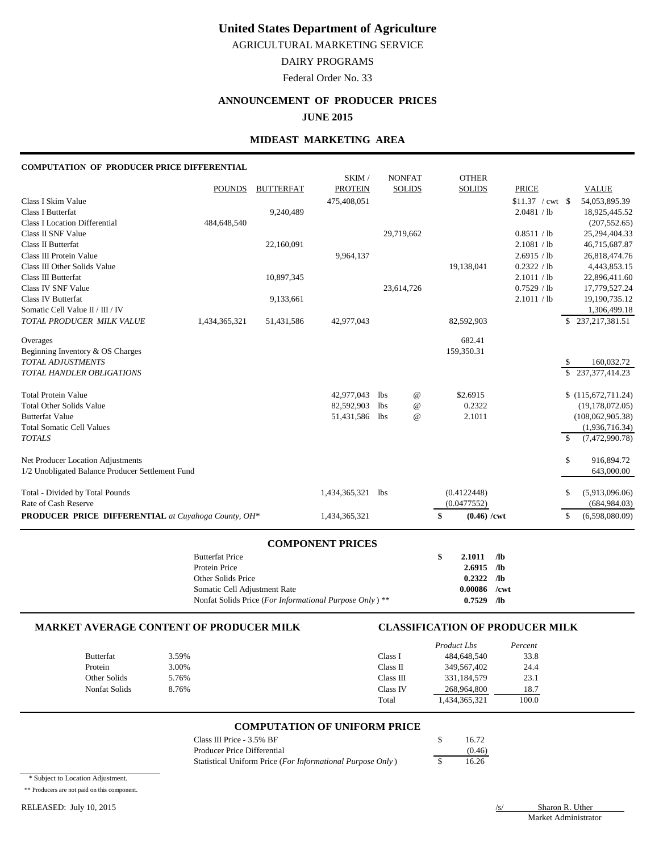AGRICULTURAL MARKETING SERVICE

# DAIRY PROGRAMS

Federal Order No. 33

# **ANNOUNCEMENT OF PRODUCER PRICES**

**JUNE 2015**

### **MIDEAST MARKETING AREA**

#### **COMPUTATION OF PRODUCER PRICE DIFFERENTIAL**

|                                                            |               |                  | SKIM/          |     | <b>NONFAT</b>   | <b>OTHER</b>        |                    |             |                    |
|------------------------------------------------------------|---------------|------------------|----------------|-----|-----------------|---------------------|--------------------|-------------|--------------------|
|                                                            | <b>POUNDS</b> | <b>BUTTERFAT</b> | <b>PROTEIN</b> |     | <b>SOLIDS</b>   | <b>SOLIDS</b>       | <b>PRICE</b>       |             | <b>VALUE</b>       |
| Class I Skim Value                                         |               |                  | 475,408,051    |     |                 |                     | $$11.37$ / cwt \\$ |             | 54,053,895.39      |
| <b>Class I Butterfat</b>                                   |               | 9,240,489        |                |     |                 |                     | 2.0481 / lb        |             | 18,925,445.52      |
| <b>Class I Location Differential</b>                       | 484,648,540   |                  |                |     |                 |                     |                    |             | (207, 552.65)      |
| Class II SNF Value                                         |               |                  |                |     | 29,719,662      |                     | 0.8511 / lb        |             | 25, 294, 404. 33   |
| Class II Butterfat                                         |               | 22,160,091       |                |     |                 |                     | 2.1081 / lb        |             | 46,715,687.87      |
| Class III Protein Value                                    |               |                  | 9,964,137      |     |                 |                     | 2.6915 / lb        |             | 26,818,474.76      |
| Class III Other Solids Value                               |               |                  |                |     |                 | 19,138,041          | 0.2322 / lb        |             | 4,443,853.15       |
| Class III Butterfat                                        |               | 10,897,345       |                |     |                 |                     | 2.1011 / lb        |             | 22,896,411.60      |
| Class IV SNF Value                                         |               |                  |                |     | 23,614,726      |                     | 0.7529 / lb        |             | 17,779,527.24      |
| <b>Class IV Butterfat</b>                                  |               | 9,133,661        |                |     |                 |                     | 2.1011 / lb        |             | 19,190,735.12      |
| Somatic Cell Value II / III / IV                           |               |                  |                |     |                 |                     |                    |             | 1,306,499.18       |
| TOTAL PRODUCER MILK VALUE                                  | 1,434,365,321 | 51,431,586       | 42,977,043     |     |                 | 82,592,903          |                    |             | \$237,217,381.51   |
| Overages                                                   |               |                  |                |     |                 | 682.41              |                    |             |                    |
| Beginning Inventory & OS Charges                           |               |                  |                |     |                 | 159,350.31          |                    |             |                    |
| <b>TOTAL ADJUSTMENTS</b>                                   |               |                  |                |     |                 |                     |                    | \$.         | 160,032.72         |
| TOTAL HANDLER OBLIGATIONS                                  |               |                  |                |     |                 |                     |                    |             | \$237,377,414.23   |
| <b>Total Protein Value</b>                                 |               |                  | 42,977,043     | lbs | @               | \$2.6915            |                    |             | \$(115,672,711.24) |
| <b>Total Other Solids Value</b>                            |               |                  | 82,592,903     | lbs | $^{\copyright}$ | 0.2322              |                    |             | (19, 178, 072.05)  |
| <b>Butterfat Value</b>                                     |               |                  | 51,431,586     | lbs | $\omega$        | 2.1011              |                    |             | (108,062,905.38)   |
| <b>Total Somatic Cell Values</b>                           |               |                  |                |     |                 |                     |                    |             | (1,936,716.34)     |
| <b>TOTALS</b>                                              |               |                  |                |     |                 |                     |                    | $\mathbf S$ | (7,472,990.78)     |
| Net Producer Location Adjustments                          |               |                  |                |     |                 |                     |                    | \$          | 916,894.72         |
| 1/2 Unobligated Balance Producer Settlement Fund           |               |                  |                |     |                 |                     |                    |             | 643,000.00         |
| Total - Divided by Total Pounds                            |               |                  | 1,434,365,321  | lbs |                 | (0.4122448)         |                    | S           | (5,913,096.06)     |
| Rate of Cash Reserve                                       |               |                  |                |     |                 | (0.0477552)         |                    |             | (684, 984.03)      |
| <b>PRODUCER PRICE DIFFERENTIAL</b> at Cuyahoga County, OH* |               |                  | 1,434,365,321  |     |                 | $(0.46)$ /cwt<br>\$ |                    | \$          | (6,598,080.09)     |

## **COMPONENT PRICES**

| <b>Butterfat Price</b>                                  | 2.1011         | /lb   |
|---------------------------------------------------------|----------------|-------|
| Protein Price                                           | $2.6915$ /lb   |       |
| Other Solids Price                                      | 0.2322         | - /lb |
| Somatic Cell Adjustment Rate                            | $0.00086$ /cwt |       |
| Nonfat Solids Price (For Informational Purpose Only) ** | 0.7529         | /lb   |

## **MARKET AVERAGE CONTENT OF PRODUCER MILK CLASSIFICATION OF PRODUCER MILK**

|                  |       |           | Product Lbs   | Percent |
|------------------|-------|-----------|---------------|---------|
| <b>Butterfat</b> | 3.59% | Class l   | 484,648,540   | 33.8    |
| Protein          | 3.00% | Class II  | 349,567,402   | 24.4    |
| Other Solids     | 5.76% | Class III | 331.184.579   | 23.1    |
| Nonfat Solids    | 8.76% | Class IV  | 268,964,800   | 18.7    |
|                  |       | Total     | 1,434,365,321 | 100.0   |

#### **COMPUTATION OF UNIFORM PRICE**

| Class III Price - $3.5\%$ BF                               | 16.72  |
|------------------------------------------------------------|--------|
| Producer Price Differential                                | (0.46) |
| Statistical Uniform Price (For Informational Purpose Only) | 16.26  |

\* Subject to Location Adjustment.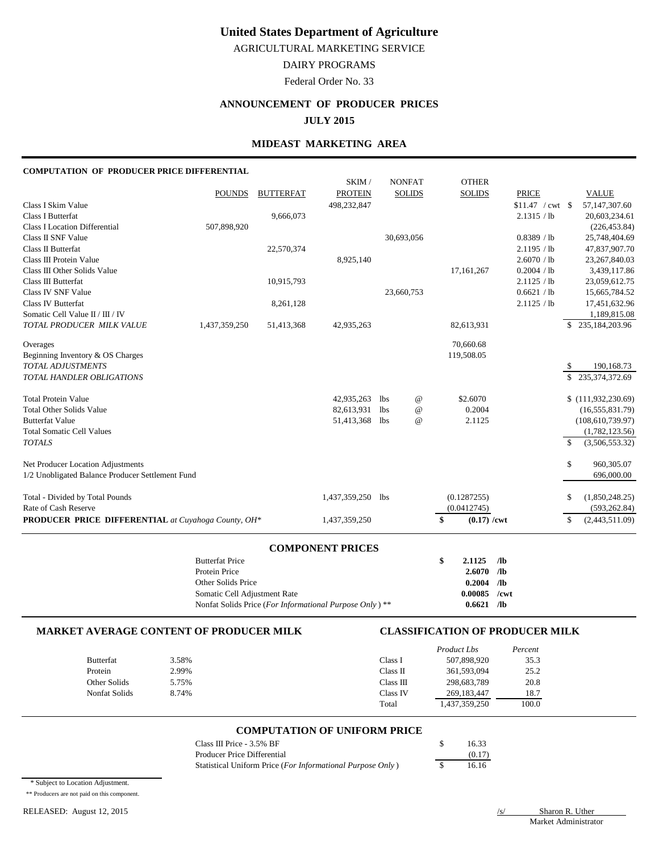AGRICULTURAL MARKETING SERVICE

DAIRY PROGRAMS

Federal Order No. 33

# **ANNOUNCEMENT OF PRODUCER PRICES**

**JULY 2015**

## **MIDEAST MARKETING AREA**

#### **COMPUTATION OF PRODUCER PRICE DIFFERENTIAL**

|                                                               | <b>COMPONENT PRICES</b> |                  |                |     |                 |    |                            |                            |                     |                                  |
|---------------------------------------------------------------|-------------------------|------------------|----------------|-----|-----------------|----|----------------------------|----------------------------|---------------------|----------------------------------|
| PRODUCER PRICE DIFFERENTIAL at Cuyahoga County, OH*           |                         |                  | 1,437,359,250  |     |                 | \$ | $(0.17)$ /cwt              |                            | \$                  | (2,443,511.09)                   |
| Total - Divided by Total Pounds<br>Rate of Cash Reserve       |                         |                  | 1,437,359,250  | lbs |                 |    | (0.1287255)<br>(0.0412745) |                            | \$                  | (1,850,248.25)<br>(593, 262.84)  |
| 1/2 Unobligated Balance Producer Settlement Fund              |                         |                  |                |     |                 |    |                            |                            |                     | 696,000.00                       |
| Net Producer Location Adjustments                             |                         |                  |                |     |                 |    |                            |                            | \$                  | 960,305.07                       |
| <b>Total Somatic Cell Values</b><br><b>TOTALS</b>             |                         |                  |                |     |                 |    |                            |                            | $\mathcal{S}$       | (1,782,123.56)<br>(3,506,553.32) |
| <b>Butterfat Value</b>                                        |                         |                  | 51,413,368     | lbs | $^{\circ}$      |    | 2.1125                     |                            |                     | (108, 610, 739.97)               |
| <b>Total Other Solids Value</b>                               |                         |                  | 82,613,931     | lbs | $^{\copyright}$ |    | 0.2004                     |                            |                     | (16, 555, 831.79)                |
| <b>Total Protein Value</b>                                    |                         |                  | 42,935,263     | lbs | $^{\,a}$        |    | \$2.6070                   |                            |                     | \$(111,932,230.69)               |
| <b>TOTAL ADJUSTMENTS</b><br>TOTAL HANDLER OBLIGATIONS         |                         |                  |                |     |                 |    |                            |                            | \$<br>$\mathcal{S}$ | 190,168.73<br>235, 374, 372. 69  |
| Beginning Inventory & OS Charges                              |                         |                  |                |     |                 |    | 119,508.05                 |                            |                     |                                  |
| Overages                                                      |                         |                  |                |     |                 |    | 70,660.68                  |                            |                     |                                  |
| Somatic Cell Value II / III / IV<br>TOTAL PRODUCER MILK VALUE | 1,437,359,250           | 51,413,368       | 42,935,263     |     |                 |    | 82,613,931                 |                            |                     | 1,189,815.08<br>\$235,184,203.96 |
| Class IV Butterfat                                            |                         | 8,261,128        |                |     |                 |    |                            | 2.1125 / lb                |                     | 17,451,632.96                    |
| Class IV SNF Value                                            |                         |                  |                |     | 23,660,753      |    |                            | 0.6621 / lb                |                     | 15,665,784.52                    |
| Class III Butterfat                                           |                         | 10,915,793       |                |     |                 |    |                            | 2.1125 / lb                |                     | 23,059,612.75                    |
| Class III Other Solids Value                                  |                         |                  |                |     |                 |    | 17, 161, 267               | 0.2004 / lb                |                     | 3,439,117.86                     |
| Class III Protein Value                                       |                         |                  | 8,925,140      |     |                 |    |                            | 2.6070 / lb                |                     | 23, 267, 840.03                  |
| Class II SNF Value<br><b>Class II Butterfat</b>               |                         | 22,570,374       |                |     | 30,693,056      |    |                            | 0.8389 / lb<br>2.1195 / lb |                     | 25,748,404.69<br>47,837,907.70   |
| <b>Class I Location Differential</b>                          | 507,898,920             |                  |                |     |                 |    |                            |                            |                     | (226, 453.84)                    |
| <b>Class I Butterfat</b>                                      |                         | 9,666,073        |                |     |                 |    |                            | 2.1315 / lb                |                     | 20,603,234.61                    |
| Class I Skim Value                                            |                         |                  | 498,232,847    |     |                 |    |                            | $$11.47$ / cwt \\$         |                     | 57,147,307.60                    |
|                                                               | <b>POUNDS</b>           | <b>BUTTERFAT</b> | <b>PROTEIN</b> |     | <b>SOLIDS</b>   |    | <b>SOLIDS</b>              | <b>PRICE</b>               |                     | <b>VALUE</b>                     |
|                                                               |                         |                  | SKIM/          |     | <b>NONFAT</b>   |    | <b>OTHER</b>               |                            |                     |                                  |

| $2.1125$ /lb |                                                                |
|--------------|----------------------------------------------------------------|
|              |                                                                |
|              |                                                                |
|              |                                                                |
|              |                                                                |
|              | $2.6070$ /lb<br>$0.2004$ /lb<br>$0.00085$ /cwt<br>$0.6621$ /lb |

#### **MARKET AVERAGE CONTENT OF PRODUCER MILK CLASSIFICATION OF PRODUCER MILK**

|                      |       |           | Product Lbs   | Percent |
|----------------------|-------|-----------|---------------|---------|
| <b>Butterfat</b>     | 3.58% | Class I   | 507,898,920   | 35.3    |
| Protein              | 2.99% | Class II  | 361,593,094   | 25.2    |
| Other Solids         | 5.75% | Class III | 298,683,789   | 20.8    |
| <b>Nonfat Solids</b> | 8.74% | Class IV  | 269, 183, 447 | 18.7    |
|                      |       | Total     | .437,359,250  | 100.0   |

#### **COMPUTATION OF UNIFORM PRICE**

| Class III Price - 3.5% BF                                  | 16.33  |
|------------------------------------------------------------|--------|
| Producer Price Differential                                | (0.17) |
| Statistical Uniform Price (For Informational Purpose Only) | 16.16  |

\* Subject to Location Adjustment.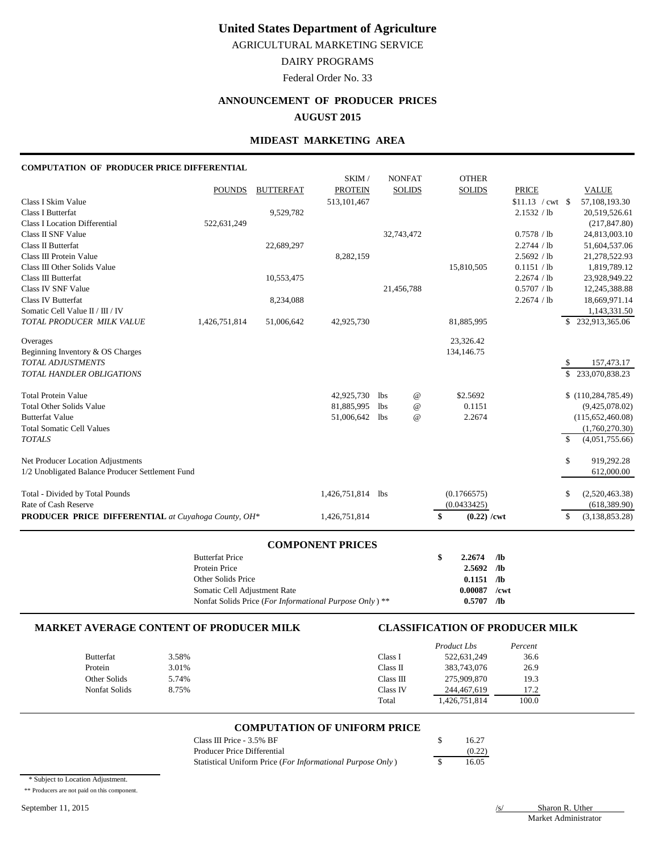AGRICULTURAL MARKETING SERVICE

# DAIRY PROGRAMS

Federal Order No. 33

# **ANNOUNCEMENT OF PRODUCER PRICES AUGUST 2015**

# **MIDEAST MARKETING AREA**

#### **COMPUTATION OF PRODUCER PRICE DIFFERENTIAL**

|                                                     |               |                  | SKIM/             |            | <b>NONFAT</b>   | <b>OTHER</b>        |                    |              |                      |
|-----------------------------------------------------|---------------|------------------|-------------------|------------|-----------------|---------------------|--------------------|--------------|----------------------|
|                                                     | <b>POUNDS</b> | <b>BUTTERFAT</b> | <b>PROTEIN</b>    |            | <b>SOLIDS</b>   | <b>SOLIDS</b>       | <b>PRICE</b>       |              | <b>VALUE</b>         |
| Class I Skim Value                                  |               |                  | 513, 101, 467     |            |                 |                     | $$11.13$ / cwt \\$ |              | 57,108,193.30        |
| <b>Class I Butterfat</b>                            |               | 9,529,782        |                   |            |                 |                     | 2.1532 / lb        |              | 20,519,526.61        |
| <b>Class I Location Differential</b>                | 522,631,249   |                  |                   |            |                 |                     |                    |              | (217, 847.80)        |
| Class II SNF Value                                  |               |                  |                   |            | 32,743,472      |                     | 0.7578 / lb        |              | 24,813,003.10        |
| Class II Butterfat                                  |               | 22,689,297       |                   |            |                 |                     | 2.2744 / lb        |              | 51,604,537.06        |
| Class III Protein Value                             |               |                  | 8,282,159         |            |                 |                     | 2.5692 / lb        |              | 21,278,522.93        |
| Class III Other Solids Value                        |               |                  |                   |            |                 | 15,810,505          | 0.1151 / lb        |              | 1,819,789.12         |
| Class III Butterfat                                 |               | 10,553,475       |                   |            |                 |                     | 2.2674 / lb        |              | 23,928,949.22        |
| Class IV SNF Value                                  |               |                  |                   |            | 21,456,788      |                     | 0.5707 / lb        |              | 12,245,388.88        |
| <b>Class IV Butterfat</b>                           |               | 8,234,088        |                   |            |                 |                     | 2.2674 / lb        |              | 18,669,971.14        |
| Somatic Cell Value II / III / IV                    |               |                  |                   |            |                 |                     |                    |              | 1,143,331.50         |
| TOTAL PRODUCER MILK VALUE                           | 1,426,751,814 | 51,006,642       | 42,925,730        |            |                 | 81,885,995          |                    |              | \$232,913,365.06     |
| Overages                                            |               |                  |                   |            |                 | 23,326.42           |                    |              |                      |
| Beginning Inventory & OS Charges                    |               |                  |                   |            |                 | 134,146.75          |                    |              |                      |
| <b>TOTAL ADJUSTMENTS</b>                            |               |                  |                   |            |                 |                     |                    | <sup>S</sup> | 157,473.17           |
| <b>TOTAL HANDLER OBLIGATIONS</b>                    |               |                  |                   |            |                 |                     |                    | \$           | 233,070,838.23       |
| <b>Total Protein Value</b>                          |               |                  | 42,925,730        | lbs        | $^{\copyright}$ | \$2.5692            |                    |              | \$(110, 284, 785.49) |
| <b>Total Other Solids Value</b>                     |               |                  | 81,885,995        | <b>lbs</b> | $^{\copyright}$ | 0.1151              |                    |              | (9,425,078.02)       |
| <b>Butterfat Value</b>                              |               |                  | 51,006,642        | <b>lbs</b> | $\omega$        | 2.2674              |                    |              | (115,652,460.08)     |
| <b>Total Somatic Cell Values</b>                    |               |                  |                   |            |                 |                     |                    |              | (1,760,270.30)       |
| <b>TOTALS</b>                                       |               |                  |                   |            |                 |                     |                    | $\mathbb{S}$ | (4,051,755.66)       |
| Net Producer Location Adjustments                   |               |                  |                   |            |                 |                     |                    | \$           | 919,292.28           |
| 1/2 Unobligated Balance Producer Settlement Fund    |               |                  |                   |            |                 |                     |                    |              | 612,000.00           |
| Total - Divided by Total Pounds                     |               |                  | 1,426,751,814 lbs |            |                 | (0.1766575)         |                    | \$           | (2,520,463.38)       |
| Rate of Cash Reserve                                |               |                  |                   |            |                 | (0.0433425)         |                    |              | (618, 389.90)        |
| PRODUCER PRICE DIFFERENTIAL at Cuyahoga County, OH* |               |                  | 1,426,751,814     |            |                 | \$<br>$(0.22)$ /cwt |                    | \$           | (3,138,853.28)       |

# **COMPONENT PRICES**

| <b>Butterfat Price</b>                                  | 2.2674         | /1 <sub>b</sub> |
|---------------------------------------------------------|----------------|-----------------|
| Protein Price                                           | $2.5692$ /lb   |                 |
| Other Solids Price                                      | $0.1151$ /lb   |                 |
| Somatic Cell Adjustment Rate                            | $0.00087$ /cwt |                 |
| Nonfat Solids Price (For Informational Purpose Only) ** | 0.5707         | /lb             |

## **MARKET AVERAGE CONTENT OF PRODUCER MILK CLASSIFICATION OF PRODUCER MILK**

|                  |       |           | <i>Product Lbs</i> | Percent |
|------------------|-------|-----------|--------------------|---------|
| <b>Butterfat</b> | 3.58% | Class 1   | 522,631,249        | 36.6    |
| Protein          | 3.01% | Class II  | 383,743,076        | 26.9    |
| Other Solids     | 5.74% | Class III | 275,909,870        | 19.3    |
| Nonfat Solids    | 8.75% | Class IV  | 244,467,619        | 17.2    |
|                  |       | Total     | 1,426,751,814      | 100.0   |

## **COMPUTATION OF UNIFORM PRICE**

| Class III Price - 3.5% BF                                  | 16.27  |
|------------------------------------------------------------|--------|
| Producer Price Differential                                | (0.22) |
| Statistical Uniform Price (For Informational Purpose Only) | 16.05  |

\* Subject to Location Adjustment.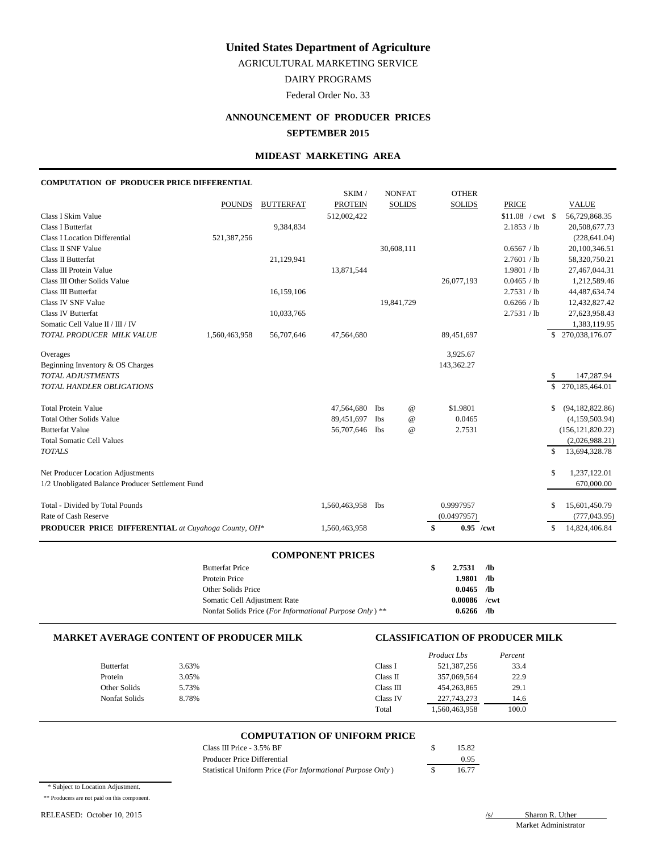AGRICULTURAL MARKETING SERVICE

DAIRY PROGRAMS

Federal Order No. 33

# **ANNOUNCEMENT OF PRODUCER PRICES SEPTEMBER 2015**

#### **MIDEAST MARKETING AREA**

#### **COMPUTATION OF PRODUCER PRICE DIFFERENTIAL**

|                                                            |               |                  | SKIM/          |            | <b>NONFAT</b>   | <b>OTHER</b>      |                          |     |                    |
|------------------------------------------------------------|---------------|------------------|----------------|------------|-----------------|-------------------|--------------------------|-----|--------------------|
|                                                            | <b>POUNDS</b> | <b>BUTTERFAT</b> | <b>PROTEIN</b> |            | <b>SOLIDS</b>   | <b>SOLIDS</b>     | <b>PRICE</b>             |     | <b>VALUE</b>       |
| Class I Skim Value                                         |               |                  | 512,002,422    |            |                 |                   | $$11.08 / \text{cwt}$ \$ |     | 56,729,868.35      |
| Class I Butterfat                                          |               | 9,384,834        |                |            |                 |                   | 2.1853 / lb              |     | 20,508,677.73      |
| <b>Class I Location Differential</b>                       | 521,387,256   |                  |                |            |                 |                   |                          |     | (228, 641.04)      |
| Class II SNF Value                                         |               |                  |                |            | 30,608,111      |                   | 0.6567 / lb              |     | 20,100,346.51      |
| Class II Butterfat                                         |               | 21,129,941       |                |            |                 |                   | 2.7601 / lb              |     | 58,320,750.21      |
| Class III Protein Value                                    |               |                  | 13,871,544     |            |                 |                   | 1.9801 / lb              |     | 27,467,044.31      |
| Class III Other Solids Value                               |               |                  |                |            |                 | 26,077,193        | 0.0465 / lb              |     | 1,212,589.46       |
| Class III Butterfat                                        |               | 16,159,106       |                |            |                 |                   | 2.7531 / lb              |     | 44,487,634.74      |
| Class IV SNF Value                                         |               |                  |                |            | 19,841,729      |                   | 0.6266 / lb              |     | 12,432,827.42      |
| Class IV Butterfat                                         |               | 10,033,765       |                |            |                 |                   | 2.7531 / lb              |     | 27,623,958.43      |
| Somatic Cell Value II / III / IV                           |               |                  |                |            |                 |                   |                          |     | 1,383,119.95       |
| TOTAL PRODUCER MILK VALUE                                  | 1,560,463,958 | 56,707,646       | 47,564,680     |            |                 | 89,451,697        |                          |     | \$270,038,176.07   |
| Overages                                                   |               |                  |                |            |                 | 3,925.67          |                          |     |                    |
| Beginning Inventory & OS Charges                           |               |                  |                |            |                 | 143,362.27        |                          |     |                    |
| <b>TOTAL ADJUSTMENTS</b>                                   |               |                  |                |            |                 |                   |                          |     | 147,287.94         |
| TOTAL HANDLER OBLIGATIONS                                  |               |                  |                |            |                 |                   |                          |     | \$270,185,464.01   |
| <b>Total Protein Value</b>                                 |               |                  | 47,564,680     | <b>lbs</b> | $^{\copyright}$ | \$1.9801          |                          | \$  | (94, 182, 822.86)  |
| <b>Total Other Solids Value</b>                            |               |                  | 89,451,697     | <b>lbs</b> | $^{\circ}$      | 0.0465            |                          |     | (4,159,503.94)     |
| <b>Butterfat Value</b>                                     |               |                  | 56,707,646     | <b>lbs</b> | $\omega$        | 2.7531            |                          |     | (156, 121, 820.22) |
| <b>Total Somatic Cell Values</b>                           |               |                  |                |            |                 |                   |                          |     | (2,026,988.21)     |
| <b>TOTALS</b>                                              |               |                  |                |            |                 |                   |                          | \$. | 13,694,328.78      |
| Net Producer Location Adjustments                          |               |                  |                |            |                 |                   |                          | \$  | 1,237,122.01       |
| 1/2 Unobligated Balance Producer Settlement Fund           |               |                  |                |            |                 |                   |                          |     | 670,000.00         |
| Total - Divided by Total Pounds                            |               |                  | 1,560,463,958  | lbs        |                 | 0.9997957         |                          | \$  | 15,601,450.79      |
| Rate of Cash Reserve                                       |               |                  |                |            |                 | (0.0497957)       |                          |     | (777, 043.95)      |
| <b>PRODUCER PRICE DIFFERENTIAL</b> at Cuyahoga County, OH* |               |                  | 1,560,463,958  |            |                 | \$<br>$0.95$ /cwt |                          | \$  | 14,824,406.84      |

#### **COMPONENT PRICES**

| <b>Butterfat Price</b>                                             | s | 2.7531       | /lb     |
|--------------------------------------------------------------------|---|--------------|---------|
| Protein Price                                                      |   | 1.9801       | /lb     |
| Other Solids Price                                                 |   | $0.0465$ /lb |         |
| Somatic Cell Adjustment Rate                                       |   | 0.00086      | $/$ cwt |
| Nonfat Solids Price (For Informational Purpose Only) <sup>**</sup> |   | 0.6266       | /lb     |

#### **MARKET AVERAGE CONTENT OF PRODUCER MILK CLASSIFICATION OF PRODUCER MILK**

|               |       |           | Product Lbs   | Percent |
|---------------|-------|-----------|---------------|---------|
| Butterfat     | 3.63% | Class I   | 521,387,256   | 33.4    |
| Protein       | 3.05% | Class II  | 357,069,564   | 22.9    |
| Other Solids  | 5.73% | Class III | 454,263,865   | 29.1    |
| Nonfat Solids | 8.78% | Class IV  | 227, 743, 273 | 14.6    |
|               |       | Total     | 1,560,463,958 | 100.0   |

### **COMPUTATION OF UNIFORM PRICE**

| Class III Price - 3.5% BF                                  | 15.82 |
|------------------------------------------------------------|-------|
| Producer Price Differential                                | 0.95  |
| Statistical Uniform Price (For Informational Purpose Only) | 16.77 |

\* Subject to Location Adjustment.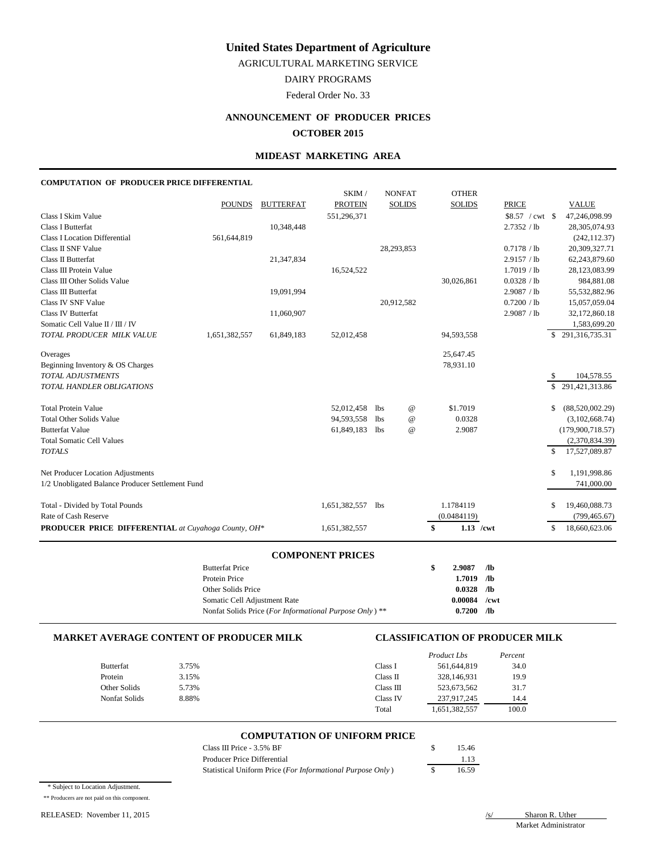AGRICULTURAL MARKETING SERVICE

DAIRY PROGRAMS

Federal Order No. 33

# **ANNOUNCEMENT OF PRODUCER PRICES OCTOBER 2015**

#### **MIDEAST MARKETING AREA**

#### **COMPUTATION OF PRODUCER PRICE DIFFERENTIAL**

|                                                            |               |                  | SKIM/          |            | <b>NONFAT</b>             | <b>OTHER</b>      |              |               |                  |
|------------------------------------------------------------|---------------|------------------|----------------|------------|---------------------------|-------------------|--------------|---------------|------------------|
|                                                            | <b>POUNDS</b> | <b>BUTTERFAT</b> | <b>PROTEIN</b> |            | <b>SOLIDS</b>             | <b>SOLIDS</b>     | <b>PRICE</b> |               | <b>VALUE</b>     |
| Class I Skim Value                                         |               |                  | 551,296,371    |            |                           |                   |              |               | 47,246,098.99    |
| Class I Butterfat                                          |               | 10,348,448       |                |            |                           |                   | 2.7352 / lb  |               | 28,305,074.93    |
| <b>Class I Location Differential</b>                       | 561,644,819   |                  |                |            |                           |                   |              |               | (242, 112.37)    |
| Class II SNF Value                                         |               |                  |                |            | 28,293,853                |                   | 0.7178 / lb  |               | 20,309,327.71    |
| Class II Butterfat                                         |               | 21,347,834       |                |            |                           |                   | 2.9157 / lb  |               | 62,243,879.60    |
| Class III Protein Value                                    |               |                  | 16,524,522     |            |                           |                   | 1.7019 / lb  |               | 28,123,083.99    |
| Class III Other Solids Value                               |               |                  |                |            |                           | 30,026,861        | 0.0328 / lb  |               | 984,881.08       |
| Class III Butterfat                                        |               | 19,091,994       |                |            |                           |                   | 2.9087 / lb  |               | 55,532,882.96    |
| Class IV SNF Value                                         |               |                  |                |            | 20,912,582                |                   | 0.7200 / lb  |               | 15,057,059.04    |
| Class IV Butterfat                                         |               | 11,060,907       |                |            |                           |                   | 2.9087 / lb  |               | 32,172,860.18    |
| Somatic Cell Value II / III / IV                           |               |                  |                |            |                           |                   |              |               | 1,583,699.20     |
| TOTAL PRODUCER MILK VALUE                                  | 1,651,382,557 | 61,849,183       | 52,012,458     |            |                           | 94,593,558        |              |               | \$291,316,735.31 |
| Overages                                                   |               |                  |                |            |                           | 25,647.45         |              |               |                  |
| Beginning Inventory & OS Charges                           |               |                  |                |            |                           | 78,931.10         |              |               |                  |
| <b>TOTAL ADJUSTMENTS</b>                                   |               |                  |                |            |                           |                   |              | S             | 104,578.55       |
| TOTAL HANDLER OBLIGATIONS                                  |               |                  |                |            |                           |                   |              | \$            | 291,421,313.86   |
| <b>Total Protein Value</b>                                 |               |                  | 52,012,458     | lbs        | $^\text{\textregistered}$ | \$1.7019          |              | \$            | (88,520,002.29)  |
| <b>Total Other Solids Value</b>                            |               |                  | 94,593,558     | <b>lbs</b> | $^{\copyright}$           | 0.0328            |              |               | (3,102,668.74)   |
| <b>Butterfat Value</b>                                     |               |                  | 61,849,183     | <b>lbs</b> | $\omega$                  | 2.9087            |              |               | (179,900,718.57) |
| <b>Total Somatic Cell Values</b>                           |               |                  |                |            |                           |                   |              |               | (2,370,834.39)   |
| <b>TOTALS</b>                                              |               |                  |                |            |                           |                   |              | $\mathcal{S}$ | 17,527,089.87    |
| Net Producer Location Adjustments                          |               |                  |                |            |                           |                   |              | \$            | 1,191,998.86     |
| 1/2 Unobligated Balance Producer Settlement Fund           |               |                  |                |            |                           |                   |              |               | 741,000.00       |
| Total - Divided by Total Pounds                            |               |                  | 1,651,382,557  | <b>lbs</b> |                           | 1.1784119         |              | S             | 19,460,088.73    |
| Rate of Cash Reserve                                       |               |                  |                |            |                           | (0.0484119)       |              |               | (799, 465.67)    |
| <b>PRODUCER PRICE DIFFERENTIAL</b> at Cuyahoga County, OH* |               |                  | 1,651,382,557  |            |                           | \$<br>$1.13$ /cwt |              | \$            | 18,660,623.06    |
|                                                            |               |                  |                |            |                           |                   |              |               |                  |

#### **COMPONENT PRICES**

| <b>Butterfat Price</b>                                             | s | 2.9087  | /1 <sub>b</sub> |
|--------------------------------------------------------------------|---|---------|-----------------|
| Protein Price                                                      |   | 1.7019  | /lb             |
| Other Solids Price                                                 |   | 0.0328  | /lb             |
| Somatic Cell Adjustment Rate                                       |   | 0.00084 | /cwt            |
| Nonfat Solids Price (For Informational Purpose Only) <sup>**</sup> |   | 0.7200  | /lb             |

#### **MARKET AVERAGE CONTENT OF PRODUCER MILK CLASSIFICATION OF PRODUCER MILK**

|                  |       |           | <b>Product Lbs</b> | Percent |
|------------------|-------|-----------|--------------------|---------|
| <b>Butterfat</b> | 3.75% | Class I   | 561,644,819        | 34.0    |
| Protein          | 3.15% | Class II  | 328,146,931        | 19.9    |
| Other Solids     | 5.73% | Class III | 523,673,562        | 31.7    |
| Nonfat Solids    | 8.88% | Class IV  | 237,917,245        | 14.4    |
|                  |       | Total     | 1,651,382,557      | 100.0   |

# **COMPUTATION OF UNIFORM PRICE**

| Class III Price - 3.5% BF                                  | 15.46 |
|------------------------------------------------------------|-------|
| Producer Price Differential                                | 1.13  |
| Statistical Uniform Price (For Informational Purpose Only) | 16.59 |

|  | * Subject to Location Adjustment. |
|--|-----------------------------------|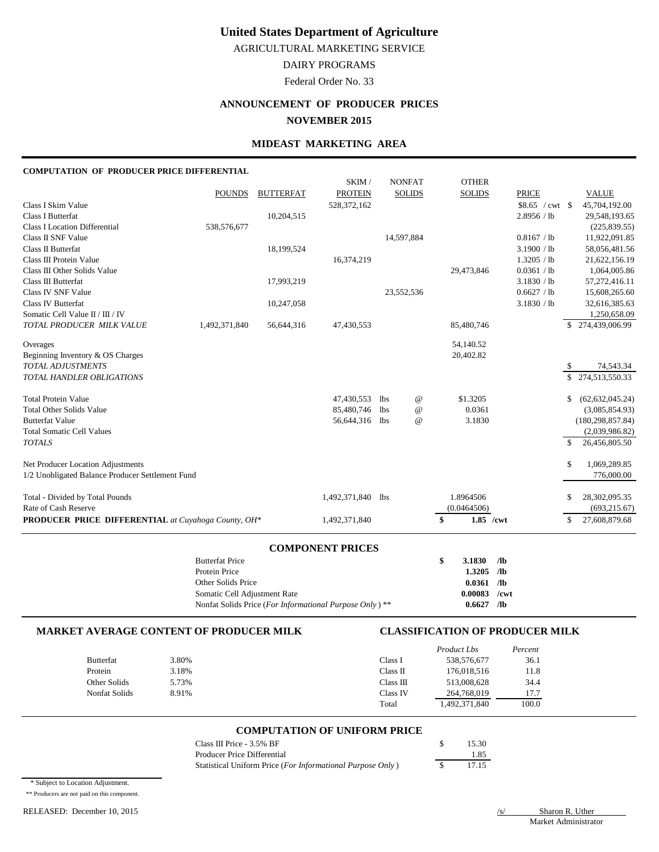AGRICULTURAL MARKETING SERVICE

DAIRY PROGRAMS

Federal Order No. 33

# **ANNOUNCEMENT OF PRODUCER PRICES**

**NOVEMBER 2015**

## **MIDEAST MARKETING AREA**

## **COMPUTATION OF PRODUCER PRICE DIFFERENTIAL**

|                                                                                    | <b>Butterfat Price</b> |                  | <b>COMPONENT PRICES</b> |            |                  | \$<br>3.1830                   | /1 <sub>b</sub> |     |                                |
|------------------------------------------------------------------------------------|------------------------|------------------|-------------------------|------------|------------------|--------------------------------|-----------------|-----|--------------------------------|
|                                                                                    |                        |                  |                         |            |                  |                                |                 |     |                                |
| Rate of Cash Reserve<br><b>PRODUCER PRICE DIFFERENTIAL</b> at Cuyahoga County, OH* |                        |                  | 1,492,371,840           |            |                  | (0.0464506)<br>\$<br>1.85 /cwt |                 | \$  | (693, 215.67)<br>27,608,879.68 |
| Total - Divided by Total Pounds                                                    |                        |                  | 1,492,371,840           | <b>lbs</b> |                  | 1.8964506                      |                 | \$  | 28,302,095.35                  |
| 1/2 Unobligated Balance Producer Settlement Fund                                   |                        |                  |                         |            |                  |                                |                 |     | 776,000.00                     |
| Net Producer Location Adjustments                                                  |                        |                  |                         |            |                  |                                |                 | \$  | 1,069,289.85                   |
| <b>TOTALS</b>                                                                      |                        |                  |                         |            |                  |                                |                 | \$. | 26,456,805.50                  |
| <b>Total Somatic Cell Values</b>                                                   |                        |                  |                         |            |                  |                                |                 |     | (2,039,986.82)                 |
| <b>Butterfat Value</b>                                                             |                        |                  | 56,644,316              | lbs        | $\boldsymbol{a}$ | 3.1830                         |                 |     | (180, 298, 857.84)             |
| <b>Total Other Solids Value</b>                                                    |                        |                  | 85,480,746              | <b>lbs</b> | $\boldsymbol{a}$ | 0.0361                         |                 |     | (3,085,854.93)                 |
| <b>Total Protein Value</b>                                                         |                        |                  | 47,430,553              | <b>lbs</b> | $^{\copyright}$  | \$1.3205                       |                 | \$  | (62, 632, 045.24)              |
| TOTAL HANDLER OBLIGATIONS                                                          |                        |                  |                         |            |                  |                                |                 | \$. | 274,513,550.33                 |
| <b>TOTAL ADJUSTMENTS</b>                                                           |                        |                  |                         |            |                  |                                |                 | \$  | 74,543.34                      |
| Beginning Inventory & OS Charges                                                   |                        |                  |                         |            |                  | 20,402.82                      |                 |     |                                |
| Overages                                                                           |                        |                  |                         |            |                  | 54,140.52                      |                 |     |                                |
| TOTAL PRODUCER MILK VALUE                                                          | 1,492,371,840          | 56,644,316       | 47,430,553              |            |                  | 85,480,746                     |                 |     | 274,439,006.99                 |
| Somatic Cell Value II / III / IV                                                   |                        | 10,247,058       |                         |            |                  |                                | 3.1830 / lb     |     | 32,616,385.63<br>1,250,658.09  |
| Class IV SNF Value<br><b>Class IV Butterfat</b>                                    |                        |                  |                         |            | 23,552,536       |                                | 0.6627 / lb     |     | 15,608,265.60                  |
| <b>Class III Butterfat</b>                                                         |                        | 17,993,219       |                         |            |                  |                                | 3.1830 / lb     |     | 57,272,416.11                  |
| Class III Other Solids Value                                                       |                        |                  |                         |            |                  | 29,473,846                     | 0.0361 / lb     |     | 1,064,005.86                   |
| Class III Protein Value                                                            |                        |                  | 16,374,219              |            |                  |                                | 1.3205 / lb     |     | 21,622,156.19                  |
| Class II Butterfat                                                                 |                        | 18,199,524       |                         |            |                  |                                | 3.1900 / lb     |     | 58,056,481.56                  |
| Class II SNF Value                                                                 |                        |                  |                         |            | 14,597,884       |                                | 0.8167 / lb     |     | 11,922,091.85                  |
| <b>Class I Location Differential</b>                                               | 538,576,677            |                  |                         |            |                  |                                |                 |     | (225, 839.55)                  |
| <b>Class I Butterfat</b>                                                           |                        | 10,204,515       |                         |            |                  |                                | 2.8956 / lb     |     | 29,548,193.65                  |
| Class I Skim Value                                                                 |                        |                  | 528, 372, 162           |            |                  |                                |                 |     | 45,704,192.00                  |
|                                                                                    | <b>POUNDS</b>          | <b>BUTTERFAT</b> | <b>PROTEIN</b>          |            | <b>SOLIDS</b>    | <b>SOLIDS</b>                  | <b>PRICE</b>    |     | <b>VALUE</b>                   |
|                                                                                    |                        |                  | SKIM /                  |            | <b>NONFAT</b>    | <b>OTHER</b>                   |                 |     |                                |

| Dunchar Theo                                            |                |  |
|---------------------------------------------------------|----------------|--|
| Protein Price                                           | $1.3205$ /lb   |  |
| Other Solids Price                                      | $0.0361$ /lb   |  |
| Somatic Cell Adjustment Rate                            | $0.00083$ /cwt |  |
| Nonfat Solids Price (For Informational Purpose Only) ** | $0.6627$ /lb   |  |

#### **MARKET AVERAGE CONTENT OF PRODUCER MILK CLASSIFICATION OF PRODUCER MILK**

|                      |       |           | Product Lbs  | Percent |
|----------------------|-------|-----------|--------------|---------|
| Butterfat            | 3.80% | Class 1   | 538,576,677  | 36.1    |
| Protein              | 3.18% | Class II  | 176,018,516  | 11.8    |
| Other Solids         | 5.73% | Class III | 513,008,628  | 34.4    |
| <b>Nonfat Solids</b> | 8.91% | Class IV  | 264,768,019  | 17.7    |
|                      |       | Total     | .492,371,840 | 100.0   |

#### **COMPUTATION OF UNIFORM PRICE**

| Class III Price - 3.5% BF                                  | 15.30 |
|------------------------------------------------------------|-------|
| Producer Price Differential                                | 1.85  |
| Statistical Uniform Price (For Informational Purpose Only) | 17.15 |

\* Subject to Location Adjustment.